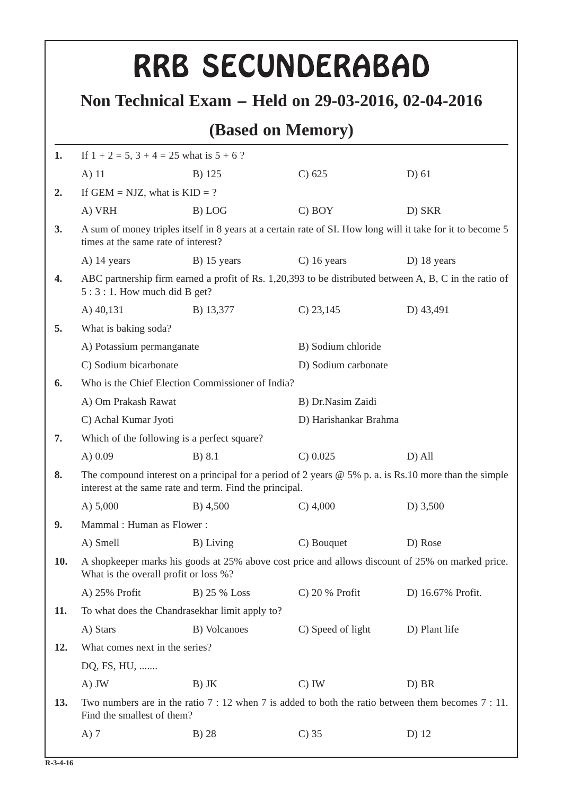|     |                                                                                                                                                                    |                                                | RRB SECUNDERABAD   |                                                                                                       |  |  |  |
|-----|--------------------------------------------------------------------------------------------------------------------------------------------------------------------|------------------------------------------------|--------------------|-------------------------------------------------------------------------------------------------------|--|--|--|
|     |                                                                                                                                                                    |                                                |                    |                                                                                                       |  |  |  |
|     | Non Technical Exam – Held on 29-03-2016, 02-04-2016<br>(Based on Memory)                                                                                           |                                                |                    |                                                                                                       |  |  |  |
|     |                                                                                                                                                                    |                                                |                    |                                                                                                       |  |  |  |
| 1.  | If $1 + 2 = 5$ , $3 + 4 = 25$ what is $5 + 6$ ?                                                                                                                    |                                                |                    |                                                                                                       |  |  |  |
|     | $A)$ 11                                                                                                                                                            | B) 125                                         | C) 625             | $D)$ 61                                                                                               |  |  |  |
| 2.  | If GEM = NJZ, what is $KID = ?$                                                                                                                                    |                                                |                    |                                                                                                       |  |  |  |
|     | A) VRH                                                                                                                                                             | B) LOG                                         | $C)$ BOY           | D) SKR                                                                                                |  |  |  |
| 3.  | A sum of money triples itself in 8 years at a certain rate of SI. How long will it take for it to become 5<br>times at the same rate of interest?                  |                                                |                    |                                                                                                       |  |  |  |
|     | A) 14 years                                                                                                                                                        | B) 15 years                                    | $C)$ 16 years      | D) 18 years                                                                                           |  |  |  |
| 4.  | ABC partnership firm earned a profit of Rs. 1,20,393 to be distributed between A, B, C in the ratio of<br>$5:3:1$ . How much did B get?                            |                                                |                    |                                                                                                       |  |  |  |
|     | A) 40,131                                                                                                                                                          | B) 13,377                                      | $C$ ) 23,145       | D) 43,491                                                                                             |  |  |  |
| 5.  | What is baking soda?                                                                                                                                               |                                                |                    |                                                                                                       |  |  |  |
|     | A) Potassium permanganate                                                                                                                                          |                                                | B) Sodium chloride |                                                                                                       |  |  |  |
|     | C) Sodium bicarbonate                                                                                                                                              |                                                |                    | D) Sodium carbonate                                                                                   |  |  |  |
| 6.  | Who is the Chief Election Commissioner of India?                                                                                                                   |                                                |                    |                                                                                                       |  |  |  |
|     | A) Om Prakash Rawat                                                                                                                                                |                                                | B) Dr.Nasim Zaidi  |                                                                                                       |  |  |  |
|     | C) Achal Kumar Jyoti                                                                                                                                               |                                                |                    | D) Harishankar Brahma                                                                                 |  |  |  |
| 7.  |                                                                                                                                                                    | Which of the following is a perfect square?    |                    |                                                                                                       |  |  |  |
|     | A $) 0.09$                                                                                                                                                         | $B)$ 8.1                                       | $C)$ 0.025         | $D)$ All                                                                                              |  |  |  |
| 8.  | The compound interest on a principal for a period of 2 years $@$ 5% p. a. is Rs.10 more than the simple<br>interest at the same rate and term. Find the principal. |                                                |                    |                                                                                                       |  |  |  |
|     | A) $5,000$                                                                                                                                                         | B) 4,500                                       | $C)$ 4,000         | D) $3,500$                                                                                            |  |  |  |
| 9.  | Mammal: Human as Flower:                                                                                                                                           |                                                |                    |                                                                                                       |  |  |  |
|     | A) Smell<br>B) Living                                                                                                                                              |                                                | C) Bouquet         | D) Rose                                                                                               |  |  |  |
| 10. | A shopkeeper marks his goods at 25% above cost price and allows discount of 25% on marked price.<br>What is the overall profit or loss %?                          |                                                |                    |                                                                                                       |  |  |  |
|     | A) 25% Profit                                                                                                                                                      | B) 25 % Loss                                   | $C$ ) 20 % Profit  | D) 16.67% Profit.                                                                                     |  |  |  |
| 11. |                                                                                                                                                                    | To what does the Chandrasekhar limit apply to? |                    |                                                                                                       |  |  |  |
|     | A) Stars                                                                                                                                                           | B) Volcanoes                                   | C) Speed of light  | D) Plant life                                                                                         |  |  |  |
| 12. | What comes next in the series?                                                                                                                                     |                                                |                    |                                                                                                       |  |  |  |
|     | DQ, FS, HU,                                                                                                                                                        |                                                |                    |                                                                                                       |  |  |  |
|     | A) JW                                                                                                                                                              | $B)$ JK                                        | $C)$ IW            | D) BR                                                                                                 |  |  |  |
| 13. | Find the smallest of them?                                                                                                                                         |                                                |                    | Two numbers are in the ratio $7:12$ when $7$ is added to both the ratio between them becomes $7:11$ . |  |  |  |
|     |                                                                                                                                                                    |                                                |                    |                                                                                                       |  |  |  |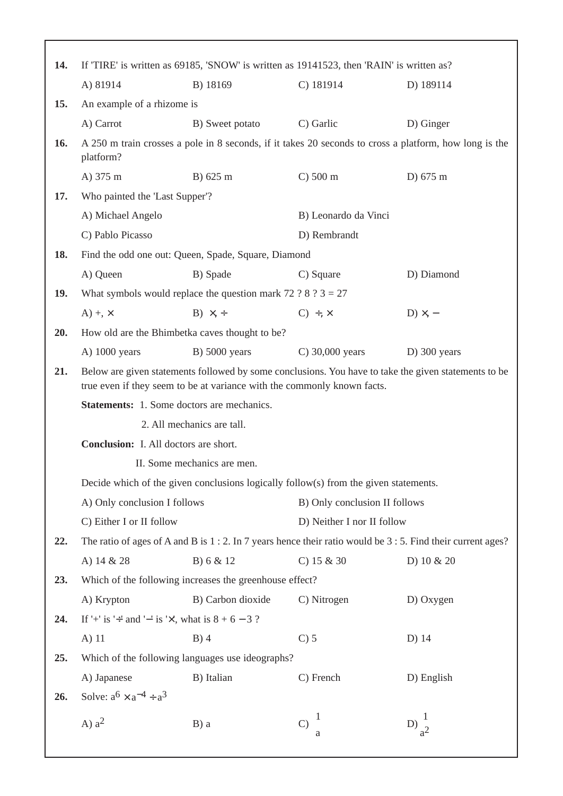| 14. | If 'TIRE' is written as 69185, 'SNOW' is written as 19141523, then 'RAIN' is written as?                                                                                        |                                                                |                               |                   |  |  |
|-----|---------------------------------------------------------------------------------------------------------------------------------------------------------------------------------|----------------------------------------------------------------|-------------------------------|-------------------|--|--|
|     | A) 81914                                                                                                                                                                        | B) 18169                                                       | $C)$ 181914                   | D) 189114         |  |  |
| 15. | An example of a rhizome is                                                                                                                                                      |                                                                |                               |                   |  |  |
|     | A) Carrot                                                                                                                                                                       | B) Sweet potato                                                | C) Garlic                     | D) Ginger         |  |  |
| 16. | A 250 m train crosses a pole in 8 seconds, if it takes 20 seconds to cross a platform, how long is the<br>platform?                                                             |                                                                |                               |                   |  |  |
|     | A) 375 m                                                                                                                                                                        | B) 625 m                                                       | $C$ ) 500 m                   | D) 675 m          |  |  |
| 17. | Who painted the 'Last Supper'?                                                                                                                                                  |                                                                |                               |                   |  |  |
|     | A) Michael Angelo                                                                                                                                                               |                                                                | B) Leonardo da Vinci          |                   |  |  |
|     | C) Pablo Picasso                                                                                                                                                                |                                                                |                               | D) Rembrandt      |  |  |
| 18. |                                                                                                                                                                                 | Find the odd one out: Queen, Spade, Square, Diamond            |                               |                   |  |  |
|     | A) Queen                                                                                                                                                                        | B) Spade                                                       | C) Square                     | D) Diamond        |  |  |
| 19. |                                                                                                                                                                                 | What symbols would replace the question mark 72 ? 8 ? $3 = 27$ |                               |                   |  |  |
|     | $A) + \times$                                                                                                                                                                   | $B) \times +$                                                  | $C) \div, \times$             | $D) \times$ , -   |  |  |
| 20. | How old are the Bhimbetka caves thought to be?                                                                                                                                  |                                                                |                               |                   |  |  |
|     | A) $1000$ years                                                                                                                                                                 | $B)$ 5000 years                                                | C) $30,000$ years             | $D)$ 300 years    |  |  |
| 21. | Below are given statements followed by some conclusions. You have to take the given statements to be<br>true even if they seem to be at variance with the commonly known facts. |                                                                |                               |                   |  |  |
|     | <b>Statements:</b> 1. Some doctors are mechanics.                                                                                                                               |                                                                |                               |                   |  |  |
|     | 2. All mechanics are tall.                                                                                                                                                      |                                                                |                               |                   |  |  |
|     | <b>Conclusion:</b> I. All doctors are short.                                                                                                                                    |                                                                |                               |                   |  |  |
|     | II. Some mechanics are men.                                                                                                                                                     |                                                                |                               |                   |  |  |
|     | Decide which of the given conclusions logically follow(s) from the given statements.                                                                                            |                                                                |                               |                   |  |  |
|     | A) Only conclusion I follows                                                                                                                                                    |                                                                | B) Only conclusion II follows |                   |  |  |
|     | C) Either I or II follow                                                                                                                                                        |                                                                | D) Neither I nor II follow    |                   |  |  |
| 22. | The ratio of ages of A and B is $1:2$ . In 7 years hence their ratio would be $3:5$ . Find their current ages?                                                                  |                                                                |                               |                   |  |  |
|     | A) 14 & 28                                                                                                                                                                      | B) 6 & 12                                                      | C) $15 & 30$                  | D) 10 & 20        |  |  |
| 23. | Which of the following increases the greenhouse effect?                                                                                                                         |                                                                |                               |                   |  |  |
|     | A) Krypton                                                                                                                                                                      | B) Carbon dioxide                                              | C) Nitrogen                   | D) Oxygen         |  |  |
| 24. | If '+' is '+' and '-' is ' $\times$ ', what is 8 + 6 - 3 ?                                                                                                                      |                                                                |                               |                   |  |  |
|     | A) 11                                                                                                                                                                           | $B)$ 4                                                         | $C$ ) 5                       | D) 14             |  |  |
| 25. |                                                                                                                                                                                 | Which of the following languages use ideographs?               |                               |                   |  |  |
|     | A) Japanese                                                                                                                                                                     | B) Italian                                                     | C) French                     | D) English        |  |  |
| 26. | Solve: $a^6 \times a^{-4} \div a^3$                                                                                                                                             |                                                                |                               |                   |  |  |
|     | A) $a^2$                                                                                                                                                                        | $B$ ) a                                                        | $C)$ $\frac{1}{2}$            | $D)\frac{1}{a^2}$ |  |  |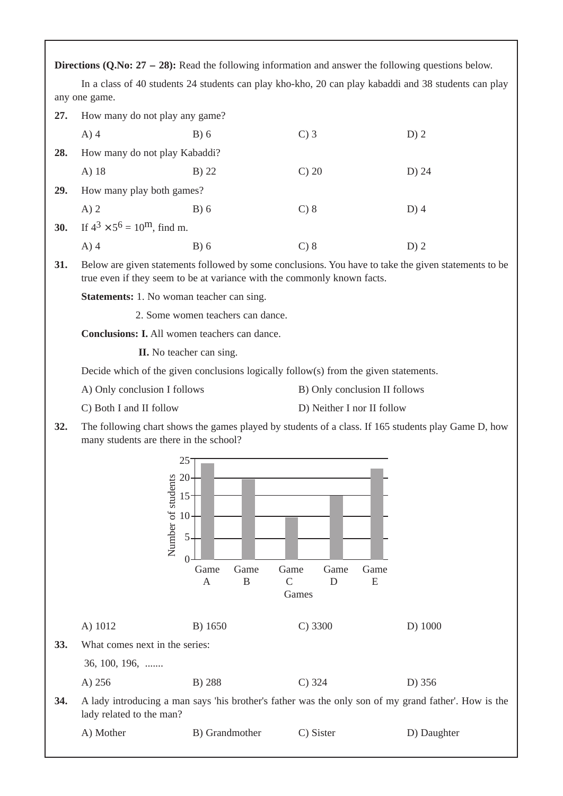**Directions (Q.No: 27 - 28):** Read the following information and answer the following questions below.

In a class of 40 students 24 students can play kho-kho, 20 can play kabaddi and 38 students can play any one game.

| 27.        | How many do not play any game?                                                                                                                                                                                                                                    |         |          |         |  |  |
|------------|-------------------------------------------------------------------------------------------------------------------------------------------------------------------------------------------------------------------------------------------------------------------|---------|----------|---------|--|--|
|            | $A)$ 4                                                                                                                                                                                                                                                            | B) 6    | $C$ ) 3  | $D)$ 2  |  |  |
| 28.        | How many do not play Kabaddi?                                                                                                                                                                                                                                     |         |          |         |  |  |
|            | A) 18                                                                                                                                                                                                                                                             | $B)$ 22 | $C$ ) 20 | D) 24   |  |  |
| <b>29.</b> | How many play both games?                                                                                                                                                                                                                                         |         |          |         |  |  |
|            | $A)$ 2                                                                                                                                                                                                                                                            | B) 6    | $C$ ) 8  | $D$ ) 4 |  |  |
| 30.        | If $4^3 \times 5^6 = 10^{\text{m}}$ , find m.                                                                                                                                                                                                                     |         |          |         |  |  |
|            | $A)$ 4                                                                                                                                                                                                                                                            | B) 6    | $C$ ) 8  | $D)$ 2  |  |  |
| 31.        | Below are given statements followed by some conclusions. You have to take the given statements to be<br>true even if they seem to be at variance with the commonly known facts.                                                                                   |         |          |         |  |  |
|            | <b>Statements:</b> 1. No woman teacher can sing.<br>2. Some women teachers can dance.<br>Conclusions: I. All women teachers can dance.<br><b>II.</b> No teacher can sing.<br>Decide which of the given conclusions logically follow(s) from the given statements. |         |          |         |  |  |
|            |                                                                                                                                                                                                                                                                   |         |          |         |  |  |
|            |                                                                                                                                                                                                                                                                   |         |          |         |  |  |
|            |                                                                                                                                                                                                                                                                   |         |          |         |  |  |
|            |                                                                                                                                                                                                                                                                   |         |          |         |  |  |
|            | A) Only conclusion I follows<br>B) Only conclusion II follows                                                                                                                                                                                                     |         |          |         |  |  |

- C) Both I and II follow D) Neither I nor II follow
- **32.** The following chart shows the games played by students of a class. If 165 students play Game D, how many students are there in the school?

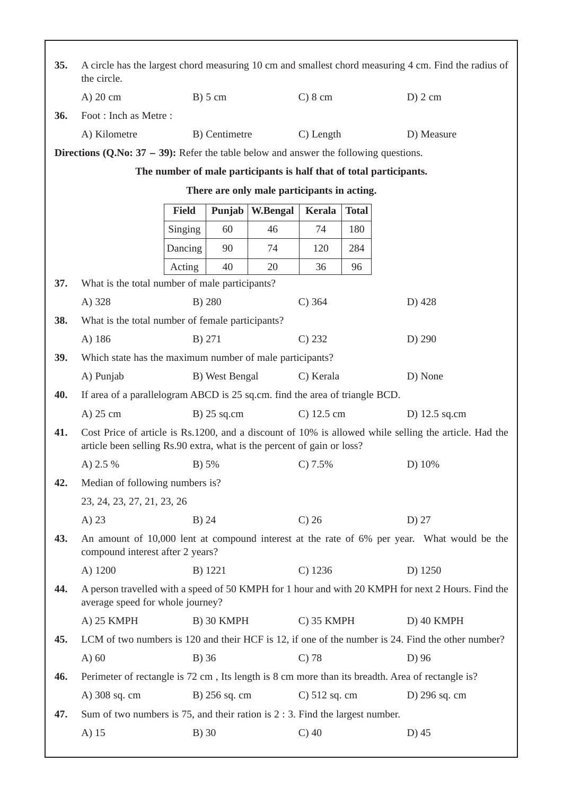| 35. | A circle has the largest chord measuring 10 cm and smallest chord measuring 4 cm. Find the radius of<br>the circle.                                                             |                                                                     |                 |                 |                  |              |                                                                                                   |
|-----|---------------------------------------------------------------------------------------------------------------------------------------------------------------------------------|---------------------------------------------------------------------|-----------------|-----------------|------------------|--------------|---------------------------------------------------------------------------------------------------|
|     | A) 20 cm                                                                                                                                                                        | $B)$ 5 cm                                                           |                 |                 | $C)$ 8 cm        |              | $D$ ) 2 cm                                                                                        |
| 36. | Foot: Inch as Metre:                                                                                                                                                            |                                                                     |                 |                 |                  |              |                                                                                                   |
|     | A) Kilometre                                                                                                                                                                    |                                                                     | B) Centimetre   |                 | C) Length        |              | D) Measure                                                                                        |
|     | <b>Directions (Q.No: 37 – 39):</b> Refer the table below and answer the following questions.                                                                                    |                                                                     |                 |                 |                  |              |                                                                                                   |
|     |                                                                                                                                                                                 | The number of male participants is half that of total participants. |                 |                 |                  |              |                                                                                                   |
|     | There are only male participants in acting.                                                                                                                                     |                                                                     |                 |                 |                  |              |                                                                                                   |
|     |                                                                                                                                                                                 | <b>Field</b>                                                        | Punjab          | <b>W.Bengal</b> | Kerala           | <b>Total</b> |                                                                                                   |
|     |                                                                                                                                                                                 | Singing                                                             | 60              | 46              | 74               | 180          |                                                                                                   |
|     |                                                                                                                                                                                 | Dancing                                                             | 90              | 74              | 120              | 284          |                                                                                                   |
|     |                                                                                                                                                                                 | Acting                                                              | 40              | 20              | 36               | 96           |                                                                                                   |
| 37. | What is the total number of male participants?                                                                                                                                  |                                                                     |                 |                 |                  |              |                                                                                                   |
|     | A) 328                                                                                                                                                                          | B) 280                                                              |                 |                 | $C)$ 364         |              | D) 428                                                                                            |
| 38. | What is the total number of female participants?                                                                                                                                |                                                                     |                 |                 |                  |              |                                                                                                   |
|     | A) 186<br>B) 271                                                                                                                                                                |                                                                     |                 | C) 232          |                  | D) 290       |                                                                                                   |
| 39. | Which state has the maximum number of male participants?                                                                                                                        |                                                                     |                 |                 |                  |              |                                                                                                   |
|     | A) Punjab                                                                                                                                                                       | D) None<br>B) West Bengal<br>C) Kerala                              |                 |                 |                  |              |                                                                                                   |
| 40. | If area of a parallelogram ABCD is 25 sq.cm. find the area of triangle BCD.                                                                                                     |                                                                     |                 |                 |                  |              |                                                                                                   |
|     | A) 25 cm                                                                                                                                                                        | $B)$ 25 sq.cm                                                       |                 |                 | $C)$ 12.5 cm     |              | D) $12.5$ sq.cm                                                                                   |
| 41. | Cost Price of article is Rs.1200, and a discount of 10% is allowed while selling the article. Had the<br>article been selling Rs.90 extra, what is the percent of gain or loss? |                                                                     |                 |                 |                  |              |                                                                                                   |
|     | A) 2.5 %                                                                                                                                                                        | B) 5%                                                               |                 |                 | $C$ ) 7.5%       |              | D) 10%                                                                                            |
| 42. | Median of following numbers is?                                                                                                                                                 |                                                                     |                 |                 |                  |              |                                                                                                   |
|     | 23, 24, 23, 27, 21, 23, 26                                                                                                                                                      |                                                                     |                 |                 |                  |              |                                                                                                   |
|     | $A)$ 23                                                                                                                                                                         | $B)$ 24                                                             |                 |                 | $C$ ) 26         |              | $D)$ 27                                                                                           |
| 43. | An amount of 10,000 lent at compound interest at the rate of 6% per year. What would be the<br>compound interest after 2 years?                                                 |                                                                     |                 |                 |                  |              |                                                                                                   |
|     | A) 1200                                                                                                                                                                         | B) 1221                                                             |                 |                 | $C)$ 1236        |              | D) 1250                                                                                           |
| 44. | A person travelled with a speed of 50 KMPH for 1 hour and with 20 KMPH for next 2 Hours. Find the<br>average speed for whole journey?                                           |                                                                     |                 |                 |                  |              |                                                                                                   |
|     | A) 25 KMPH                                                                                                                                                                      |                                                                     | B) 30 KMPH      |                 | $C)$ 35 KMPH     |              | D) 40 KMPH                                                                                        |
| 45. |                                                                                                                                                                                 |                                                                     |                 |                 |                  |              | LCM of two numbers is 120 and their HCF is 12, if one of the number is 24. Find the other number? |
|     | $A)$ 60                                                                                                                                                                         | B) 36                                                               |                 |                 | $C$ ) 78         |              | D) 96                                                                                             |
| 46. |                                                                                                                                                                                 |                                                                     |                 |                 |                  |              | Perimeter of rectangle is 72 cm, Its length is 8 cm more than its breadth. Area of rectangle is?  |
|     | A) 308 sq. cm                                                                                                                                                                   |                                                                     | $B)$ 256 sq. cm |                 | $C$ ) 512 sq. cm |              | D) 296 sq. cm                                                                                     |
| 47. | Sum of two numbers is 75, and their ration is $2:3$ . Find the largest number.                                                                                                  |                                                                     |                 |                 |                  |              |                                                                                                   |
|     | A) 15                                                                                                                                                                           | $B)$ 30                                                             |                 |                 | $C$ ) 40         |              | $D)$ 45                                                                                           |